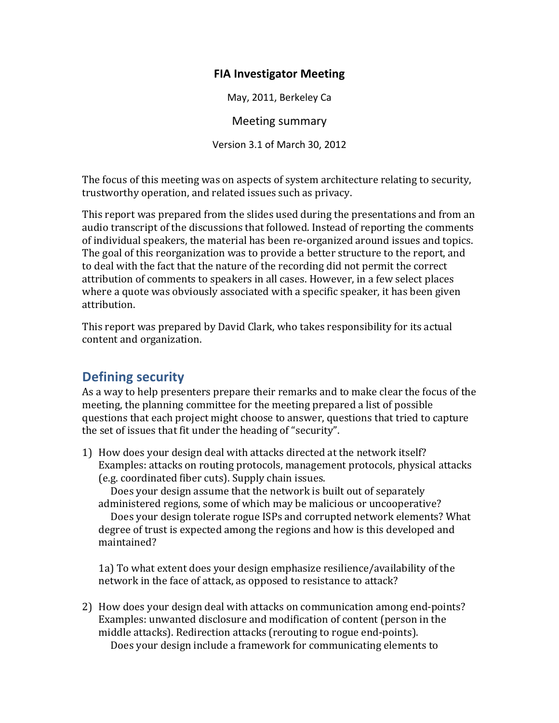## **FIA Investigator Meeting**

May, 2011, Berkeley Ca

Meeting summary

Version 3.1 of March 30, 2012

The focus of this meeting was on aspects of system architecture relating to security, trustworthy operation, and related issues such as privacy.

This report was prepared from the slides used during the presentations and from an audio transcript of the discussions that followed. Instead of reporting the comments of individual speakers, the material has been re-organized around issues and topics. The goal of this reorganization was to provide a better structure to the report, and to deal with the fact that the nature of the recording did not permit the correct attribution of comments to speakers in all cases. However, in a few select places where a quote was obviously associated with a specific speaker, it has been given attribution.

This report was prepared by David Clark, who takes responsibility for its actual content and organization.

## **Defining security**

As a way to help presenters prepare their remarks and to make clear the focus of the meeting, the planning committee for the meeting prepared a list of possible questions that each project might choose to answer, questions that tried to capture the set of issues that fit under the heading of "security".

1) How does your design deal with attacks directed at the network itself? Examples: attacks on routing protocols, management protocols, physical attacks (e.g. coordinated fiber cuts). Supply chain issues.

Does your design assume that the network is built out of separately administered regions, some of which may be malicious or uncooperative?

Does your design tolerate rogue ISPs and corrupted network elements? What degree of trust is expected among the regions and how is this developed and maintained?!

1a) To what extent does your design emphasize resilience/availability of the network in the face of attack, as opposed to resistance to attack?

2) How does your design deal with attacks on communication among end-points? Examples: unwanted disclosure and modification of content (person in the middle attacks). Redirection attacks (rerouting to rogue end-points). Does your design include a framework for communicating elements to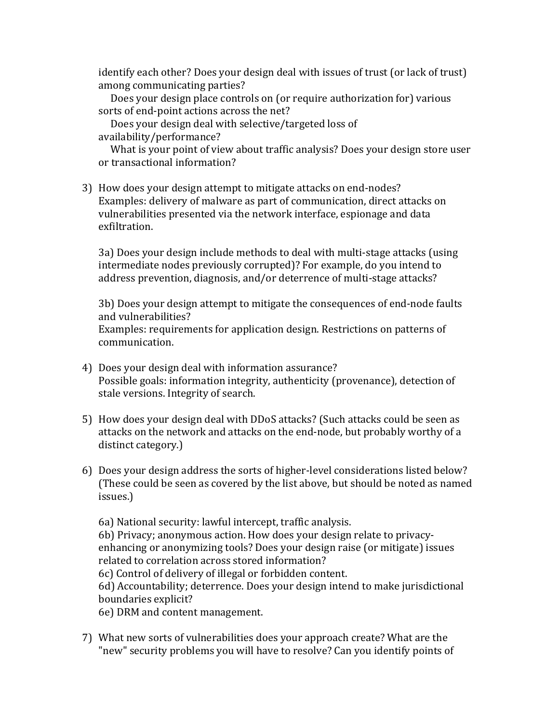identify each other? Does your design deal with issues of trust (or lack of trust) among communicating parties?

Does your design place controls on (or require authorization for) various sorts of end-point actions across the net?

Does your design deal with selective/targeted loss of availability/performance?!

What is your point of view about traffic analysis? Does your design store user or transactional information?

3) How does your design attempt to mitigate attacks on end-nodes? Examples: delivery of malware as part of communication, direct attacks on vulnerabilities presented via the network interface, espionage and data exfiltration.

3a) Does your design include methods to deal with multi-stage attacks (using intermediate nodes previously corrupted)? For example, do you intend to address prevention, diagnosis, and/or deterrence of multi-stage attacks?

3b) Does your design attempt to mitigate the consequences of end-node faults and vulnerabilities? Examples: requirements for application design. Restrictions on patterns of communication.!

- 4) Does your design deal with information assurance? Possible goals: information integrity, authenticity (provenance), detection of stale versions. Integrity of search.
- 5) How does your design deal with DDoS attacks? (Such attacks could be seen as attacks on the network and attacks on the end-node, but probably worthy of a distinct category.)
- 6) Does your design address the sorts of higher-level considerations listed below? (These could be seen as covered by the list above, but should be noted as named issues.)

6a) National security: lawful intercept, traffic analysis.

6b) Privacy; anonymous action. How does your design relate to privacyenhancing or anonymizing tools? Does your design raise (or mitigate) issues related to correlation across stored information?

6c) Control of delivery of illegal or forbidden content.

6d) Accountability; deterrence. Does your design intend to make jurisdictional boundaries explicit?

6e) DRM and content management.

7) What new sorts of vulnerabilities does your approach create? What are the "new" security problems you will have to resolve? Can you identify points of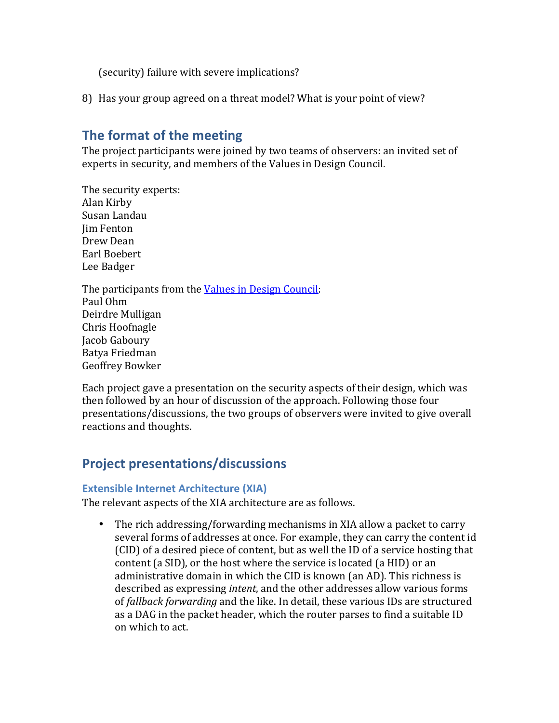(security) failure with severe implications?

8) Has your group agreed on a threat model? What is your point of view?

## **The format of the meeting**

The project participants were joined by two teams of observers: an invited set of experts in security, and members of the Values in Design Council.

The security experts: Alan!Kirby Susan Landau Jim!Fenton Drew!Dean! Earl Boebert Lee Badger The participants from the Values in Design Council: Paul Ohm Deirdre Mulligan Chris Hoofnagle Jacob Gaboury Batya Friedman Geoffrey Bowker

Each project gave a presentation on the security aspects of their design, which was then followed by an hour of discussion of the approach. Following those four presentations/discussions, the two groups of observers were invited to give overall reactions and thoughts.

## **Project\$presentations/discussions**

#### **Extensible Internet Architecture (XIA)**

The relevant aspects of the XIA architecture are as follows.

• The rich addressing/forwarding mechanisms in XIA allow a packet to carry several forms of addresses at once. For example, they can carry the content id (CID) of a desired piece of content, but as well the ID of a service hosting that content (a SID), or the host where the service is located (a HID) or an administrative domain in which the CID is known (an AD). This richness is described as expressing *intent*, and the other addresses allow various forms of *fallback forwarding* and the like. In detail, these various IDs are structured as a DAG in the packet header, which the router parses to find a suitable ID on which to act.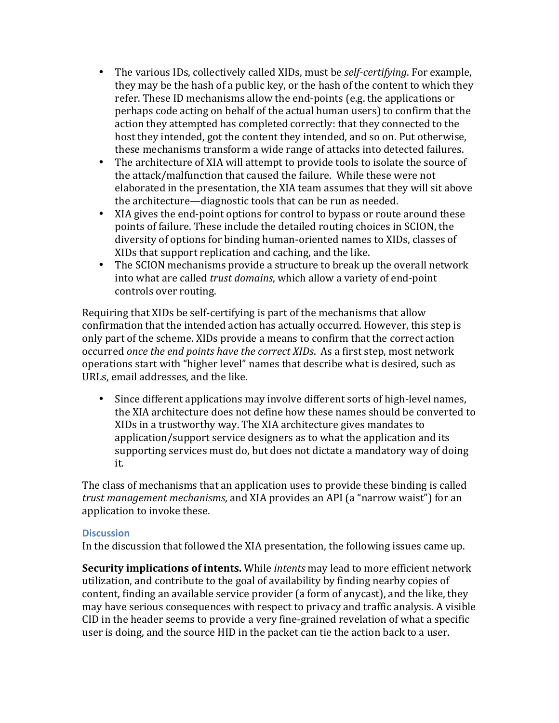- The various IDs, collectively called XIDs, must be *self-certifying*. For example, they may be the hash of a public key, or the hash of the content to which they refer. These ID mechanisms allow the end-points (e.g. the applications or perhaps code acting on behalf of the actual human users) to confirm that the action they attempted has completed correctly: that they connected to the host they intended, got the content they intended, and so on. Put otherwise, these mechanisms transform a wide range of attacks into detected failures.
- The architecture of XIA will attempt to provide tools to isolate the source of the attack/malfunction that caused the failure. While these were not elaborated in the presentation, the XIA team assumes that they will sit above the architecture—diagnostic tools that can be run as needed.
- XIA gives the end-point options for control to bypass or route around these points of failure. These include the detailed routing choices in SCION, the diversity of options for binding human-oriented names to XIDs, classes of XIDs that support replication and caching, and the like.
- The SCION mechanisms provide a structure to break up the overall network into what are called *trust domains*, which allow a variety of end-point controls over routing.

Requiring that XIDs be self-certifying is part of the mechanisms that allow confirmation that the intended action has actually occurred. However, this step is only part of the scheme. XIDs provide a means to confirm that the correct action occurred *once the end points have the correct XIDs*. As a first step, most network operations start with "higher level" names that describe what is desired, such as URLs, email addresses, and the like.

• Since different applications may involve different sorts of high-level names, the XIA architecture does not define how these names should be converted to XIDs in a trustworthy way. The XIA architecture gives mandates to application/support service designers as to what the application and its supporting services must do, but does not dictate a mandatory way of doing it.

The class of mechanisms that an application uses to provide these binding is called *trust management mechanisms*, and XIA provides an API (a "narrow waist") for an application to invoke these.

#### **Discussion**

In the discussion that followed the XIA presentation, the following issues came up.

**Security implications of intents.** While *intents* may lead to more efficient network utilization, and contribute to the goal of availability by finding nearby copies of content, finding an available service provider (a form of anycast), and the like, they may have serious consequences with respect to privacy and traffic analysis. A visible CID in the header seems to provide a very fine-grained revelation of what a specific user is doing, and the source HID in the packet can tie the action back to a user.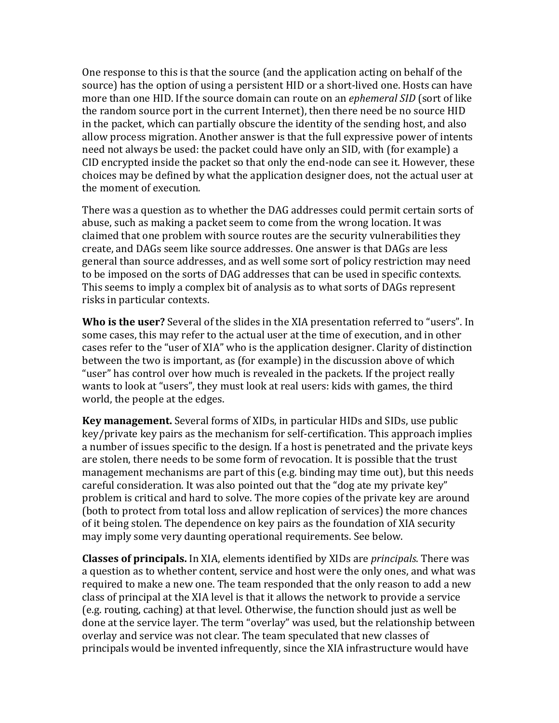One response to this is that the source (and the application acting on behalf of the source) has the option of using a persistent HID or a short-lived one. Hosts can have more than one HID. If the source domain can route on an *ephemeral SID* (sort of like the random source port in the current Internet), then there need be no source HID in the packet, which can partially obscure the identity of the sending host, and also allow process migration. Another answer is that the full expressive power of intents need not always be used: the packet could have only an SID, with (for example) a CID encrypted inside the packet so that only the end-node can see it. However, these choices may be defined by what the application designer does, not the actual user at the moment of execution.

There was a question as to whether the DAG addresses could permit certain sorts of abuse, such as making a packet seem to come from the wrong location. It was claimed that one problem with source routes are the security vulnerabilities they create, and DAGs seem like source addresses. One answer is that DAGs are less general than source addresses, and as well some sort of policy restriction may need to be imposed on the sorts of DAG addresses that can be used in specific contexts. This seems to imply a complex bit of analysis as to what sorts of DAGs represent risks in particular contexts.

**Who is the user?** Several of the slides in the XIA presentation referred to "users". In some cases, this may refer to the actual user at the time of execution, and in other cases refer to the "user of XIA" who is the application designer. Clarity of distinction between the two is important, as (for example) in the discussion above of which "user" has control over how much is revealed in the packets. If the project really wants to look at "users", they must look at real users: kids with games, the third world, the people at the edges.

**Key management.** Several forms of XIDs, in particular HIDs and SIDs, use public key/private key pairs as the mechanism for self-certification. This approach implies a number of issues specific to the design. If a host is penetrated and the private keys are stolen, there needs to be some form of revocation. It is possible that the trust management mechanisms are part of this (e.g. binding may time out), but this needs careful consideration. It was also pointed out that the "dog ate my private key" problem is critical and hard to solve. The more copies of the private key are around (both to protect from total loss and allow replication of services) the more chances of it being stolen. The dependence on key pairs as the foundation of XIA security may imply some very daunting operational requirements. See below.

**Classes of principals.** In XIA, elements identified by XIDs are *principals*. There was a question as to whether content, service and host were the only ones, and what was required to make a new one. The team responded that the only reason to add a new class of principal at the XIA level is that it allows the network to provide a service (e.g. routing, caching) at that level. Otherwise, the function should just as well be done at the service layer. The term "overlay" was used, but the relationship between overlay and service was not clear. The team speculated that new classes of principals would be invented infrequently, since the XIA infrastructure would have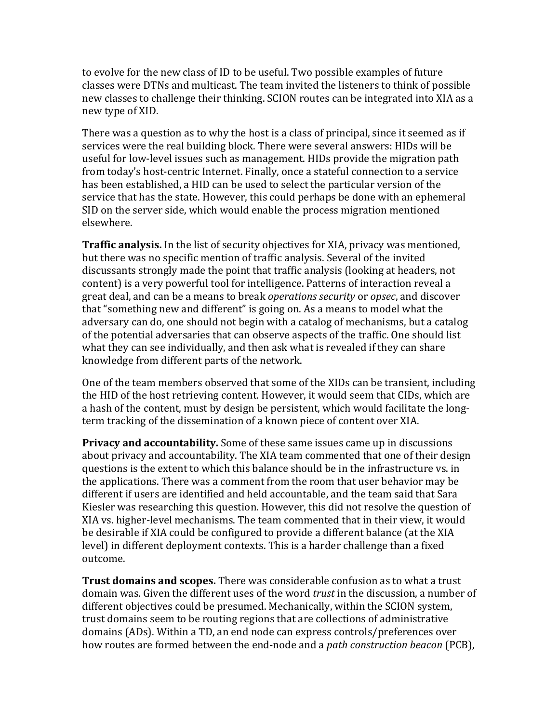to evolve for the new class of ID to be useful. Two possible examples of future classes were DTNs and multicast. The team invited the listeners to think of possible new classes to challenge their thinking. SCION routes can be integrated into XIA as a new type of XID.

There was a question as to why the host is a class of principal, since it seemed as if services were the real building block. There were several answers: HIDs will be useful for low-level issues such as management. HIDs provide the migration path from today's host-centric Internet. Finally, once a stateful connection to a service has been established, a HID can be used to select the particular version of the service that has the state. However, this could perhaps be done with an ephemeral SID on the server side, which would enable the process migration mentioned elsewhere.

**Traffic analysis.** In the list of security objectives for XIA, privacy was mentioned, but there was no specific mention of traffic analysis. Several of the invited discussants strongly made the point that traffic analysis (looking at headers, not content) is a very powerful tool for intelligence. Patterns of interaction reveal a great deal, and can be a means to break *operations security* or *opsec*, and discover that "something new and different" is going on. As a means to model what the adversary can do, one should not begin with a catalog of mechanisms, but a catalog of the potential adversaries that can observe aspects of the traffic. One should list what they can see individually, and then ask what is revealed if they can share knowledge from different parts of the network.

One of the team members observed that some of the XIDs can be transient, including the HID of the host retrieving content. However, it would seem that CIDs, which are a hash of the content, must by design be persistent, which would facilitate the longterm tracking of the dissemination of a known piece of content over XIA.

**Privacy and accountability.** Some of these same issues came up in discussions about privacy and accountability. The XIA team commented that one of their design questions is the extent to which this balance should be in the infrastructure vs. in the applications. There was a comment from the room that user behavior may be different if users are identified and held accountable, and the team said that Sara Kiesler was researching this question. However, this did not resolve the question of XIA vs. higher-level mechanisms. The team commented that in their view, it would be desirable if XIA could be configured to provide a different balance (at the XIA level) in different deployment contexts. This is a harder challenge than a fixed outcome.

**Trust domains and scopes.** There was considerable confusion as to what a trust domain was. Given the different uses of the word *trust* in the discussion, a number of different objectives could be presumed. Mechanically, within the SCION system, trust domains seem to be routing regions that are collections of administrative domains (ADs). Within a TD, an end node can express controls/preferences over how routes are formed between the end-node and a *path construction beacon* (PCB),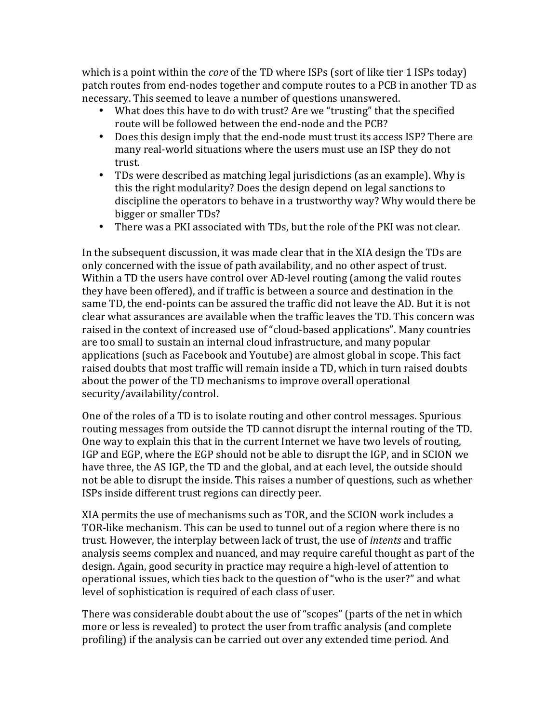which is a point within the *core* of the TD where ISPs (sort of like tier 1 ISPs today) patch routes from end-nodes together and compute routes to a PCB in another TD as necessary. This seemed to leave a number of questions unanswered.

- What does this have to do with trust? Are we "trusting" that the specified route will be followed between the end-node and the PCB?
- Does this design imply that the end-node must trust its access ISP? There are many real-world situations where the users must use an ISP they do not trust.
- TDs were described as matching legal jurisdictions (as an example). Why is this the right modularity? Does the design depend on legal sanctions to discipline the operators to behave in a trustworthy way? Why would there be bigger or smaller TDs?
- There was a PKI associated with TDs, but the role of the PKI was not clear.

In the subsequent discussion, it was made clear that in the XIA design the TDs are only concerned with the issue of path availability, and no other aspect of trust. Within a TD the users have control over AD-level routing (among the valid routes they have been offered), and if traffic is between a source and destination in the same TD, the end-points can be assured the traffic did not leave the AD. But it is not clear what assurances are available when the traffic leaves the TD. This concern was raised in the context of increased use of "cloud-based applications". Many countries are too small to sustain an internal cloud infrastructure, and many popular applications (such as Facebook and Youtube) are almost global in scope. This fact raised doubts that most traffic will remain inside a TD, which in turn raised doubts about the power of the TD mechanisms to improve overall operational security/availability/control.

One of the roles of a TD is to isolate routing and other control messages. Spurious routing messages from outside the TD cannot disrupt the internal routing of the TD. One way to explain this that in the current Internet we have two levels of routing, IGP and EGP, where the EGP should not be able to disrupt the IGP, and in SCION we have three, the AS IGP, the TD and the global, and at each level, the outside should not be able to disrupt the inside. This raises a number of questions, such as whether ISPs inside different trust regions can directly peer.

XIA permits the use of mechanisms such as TOR, and the SCION work includes a TOR-like mechanism. This can be used to tunnel out of a region where there is no trust. However, the interplay between lack of trust, the use of *intents* and traffic analysis seems complex and nuanced, and may require careful thought as part of the design. Again, good security in practice may require a high-level of attention to operational issues, which ties back to the question of "who is the user?" and what level of sophistication is required of each class of user.

There was considerable doubt about the use of "scopes" (parts of the net in which more or less is revealed) to protect the user from traffic analysis (and complete profiling) if the analysis can be carried out over any extended time period. And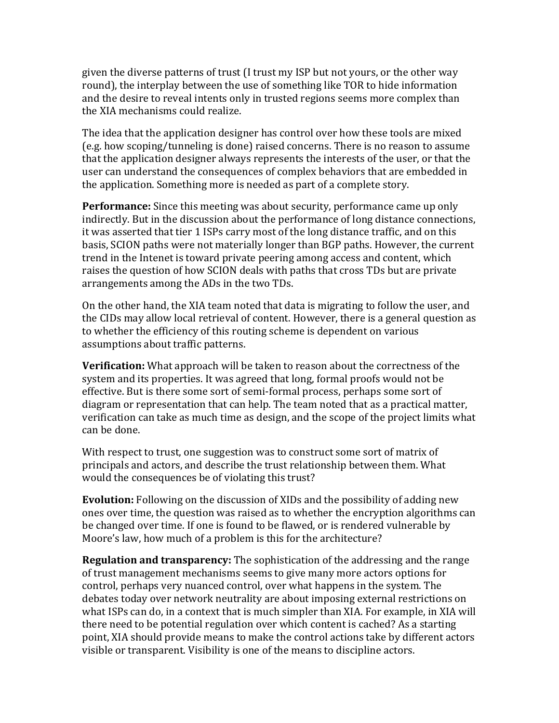given the diverse patterns of trust (I trust my ISP but not yours, or the other way round), the interplay between the use of something like TOR to hide information and the desire to reveal intents only in trusted regions seems more complex than the XIA mechanisms could realize.

The idea that the application designer has control over how these tools are mixed (e.g. how scoping/tunneling is done) raised concerns. There is no reason to assume that the application designer always represents the interests of the user, or that the user can understand the consequences of complex behaviors that are embedded in the application. Something more is needed as part of a complete story.

**Performance:** Since this meeting was about security, performance came up only indirectly. But in the discussion about the performance of long distance connections, it was asserted that tier 1 ISPs carry most of the long distance traffic, and on this basis, SCION paths were not materially longer than BGP paths. However, the current trend in the Intenet is toward private peering among access and content, which raises the question of how SCION deals with paths that cross TDs but are private arrangements among the ADs in the two TDs.

On the other hand, the XIA team noted that data is migrating to follow the user, and the CIDs may allow local retrieval of content. However, there is a general question as to whether the efficiency of this routing scheme is dependent on various assumptions about traffic patterns.

**Verification:** What approach will be taken to reason about the correctness of the system and its properties. It was agreed that long, formal proofs would not be effective. But is there some sort of semi-formal process, perhaps some sort of diagram or representation that can help. The team noted that as a practical matter, verification can take as much time as design, and the scope of the project limits what can he done.

With respect to trust, one suggestion was to construct some sort of matrix of principals and actors, and describe the trust relationship between them. What would the consequences be of violating this trust?

**Evolution:** Following on the discussion of XIDs and the possibility of adding new ones over time, the question was raised as to whether the encryption algorithms can be changed over time. If one is found to be flawed, or is rendered vulnerable by Moore's law, how much of a problem is this for the architecture?

**Regulation and transparency:** The sophistication of the addressing and the range of trust management mechanisms seems to give many more actors options for control, perhaps very nuanced control, over what happens in the system. The debates today over network neutrality are about imposing external restrictions on what ISPs can do, in a context that is much simpler than XIA. For example, in XIA will there need to be potential regulation over which content is cached? As a starting point, XIA should provide means to make the control actions take by different actors visible or transparent. Visibility is one of the means to discipline actors.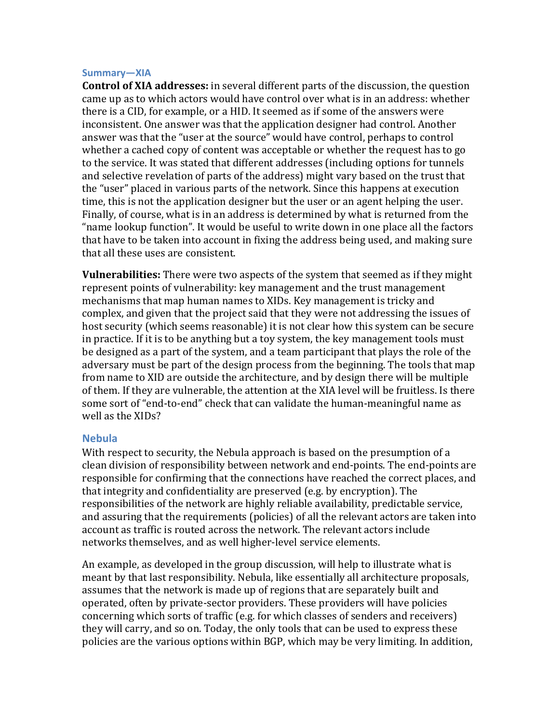#### **Summary—XIA**

**Control of XIA addresses:** in several different parts of the discussion, the question came up as to which actors would have control over what is in an address: whether there is a CID, for example, or a HID. It seemed as if some of the answers were inconsistent. One answer was that the application designer had control. Another answer was that the "user at the source" would have control, perhaps to control whether a cached copy of content was acceptable or whether the request has to go to the service. It was stated that different addresses (including options for tunnels and selective revelation of parts of the address) might vary based on the trust that the "user" placed in various parts of the network. Since this happens at execution time, this is not the application designer but the user or an agent helping the user. Finally, of course, what is in an address is determined by what is returned from the "name lookup function". It would be useful to write down in one place all the factors that have to be taken into account in fixing the address being used, and making sure that all these uses are consistent.

**Vulnerabilities:** There were two aspects of the system that seemed as if they might represent points of vulnerability: key management and the trust management mechanisms that map human names to XIDs. Key management is tricky and complex, and given that the project said that they were not addressing the issues of host security (which seems reasonable) it is not clear how this system can be secure in practice. If it is to be anything but a toy system, the key management tools must be designed as a part of the system, and a team participant that plays the role of the adversary must be part of the design process from the beginning. The tools that map from name to XID are outside the architecture, and by design there will be multiple of them. If they are vulnerable, the attention at the XIA level will be fruitless. Is there some sort of "end-to-end" check that can validate the human-meaningful name as well as the XIDs?

#### **Nebula**

With respect to security, the Nebula approach is based on the presumption of a clean division of responsibility between network and end-points. The end-points are responsible for confirming that the connections have reached the correct places, and that integrity and confidentiality are preserved (e.g. by encryption). The responsibilities of the network are highly reliable availability, predictable service, and assuring that the requirements (policies) of all the relevant actors are taken into account as traffic is routed across the network. The relevant actors include networks themselves, and as well higher-level service elements.

An example, as developed in the group discussion, will help to illustrate what is meant by that last responsibility. Nebula, like essentially all architecture proposals, assumes that the network is made up of regions that are separately built and operated, often by private-sector providers. These providers will have policies concerning which sorts of traffic (e.g. for which classes of senders and receivers) they will carry, and so on. Today, the only tools that can be used to express these policies are the various options within BGP, which may be very limiting. In addition,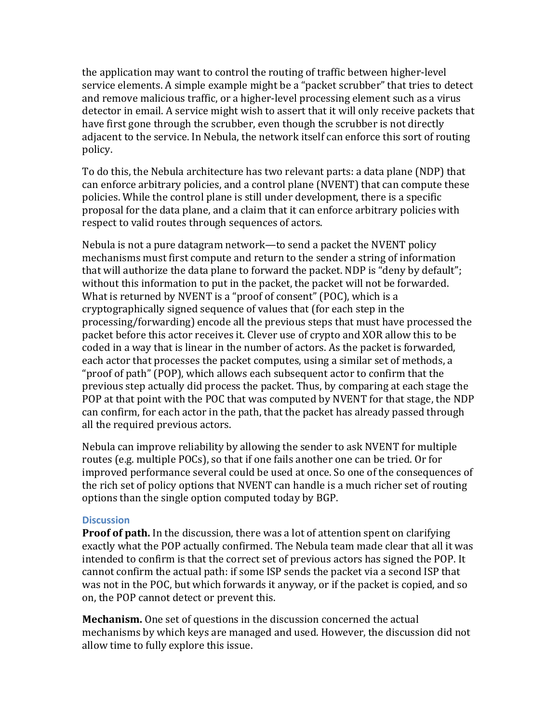the application may want to control the routing of traffic between higher-level service elements. A simple example might be a "packet scrubber" that tries to detect and remove malicious traffic, or a higher-level processing element such as a virus detector in email. A service might wish to assert that it will only receive packets that have first gone through the scrubber, even though the scrubber is not directly adjacent to the service. In Nebula, the network itself can enforce this sort of routing policy.

To do this, the Nebula architecture has two relevant parts: a data plane (NDP) that can enforce arbitrary policies, and a control plane (NVENT) that can compute these policies. While the control plane is still under development, there is a specific proposal for the data plane, and a claim that it can enforce arbitrary policies with respect to valid routes through sequences of actors.

Nebula is not a pure datagram network—to send a packet the NVENT policy mechanisms must first compute and return to the sender a string of information that will authorize the data plane to forward the packet. NDP is "deny by default"; without this information to put in the packet, the packet will not be forwarded. What is returned by NVENT is a "proof of consent" (POC), which is a cryptographically signed sequence of values that (for each step in the processing/forwarding) encode all the previous steps that must have processed the packet before this actor receives it. Clever use of crypto and XOR allow this to be coded in a way that is linear in the number of actors. As the packet is forwarded, each actor that processes the packet computes, using a similar set of methods, a "proof of path" (POP), which allows each subsequent actor to confirm that the previous step actually did process the packet. Thus, by comparing at each stage the POP at that point with the POC that was computed by NVENT for that stage, the NDP can confirm, for each actor in the path, that the packet has already passed through all the required previous actors.

Nebula can improve reliability by allowing the sender to ask NVENT for multiple routes (e.g. multiple POCs), so that if one fails another one can be tried. Or for improved performance several could be used at once. So one of the consequences of the rich set of policy options that NVENT can handle is a much richer set of routing options than the single option computed today by BGP.

#### **Discussion**

**Proof of path.** In the discussion, there was a lot of attention spent on clarifying exactly what the POP actually confirmed. The Nebula team made clear that all it was intended to confirm is that the correct set of previous actors has signed the POP. It cannot confirm the actual path: if some ISP sends the packet via a second ISP that was not in the POC, but which forwards it anyway, or if the packet is copied, and so on, the POP cannot detect or prevent this.

**Mechanism.** One set of questions in the discussion concerned the actual mechanisms by which keys are managed and used. However, the discussion did not allow time to fully explore this issue.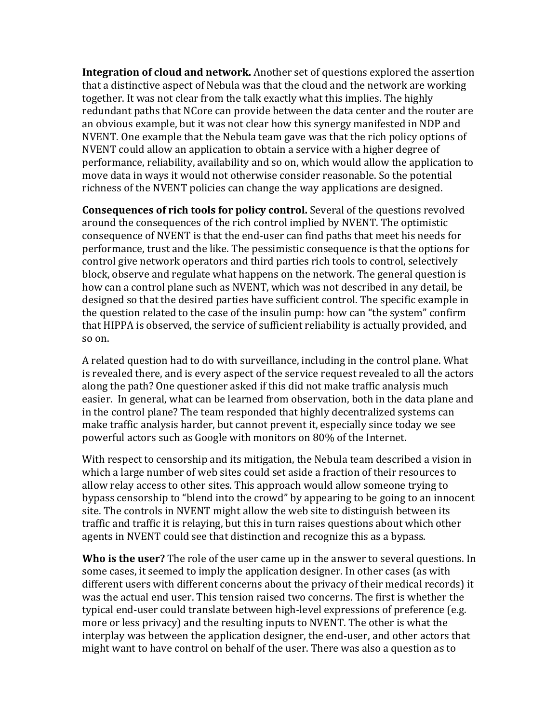**Integration of cloud and network.** Another set of questions explored the assertion that a distinctive aspect of Nebula was that the cloud and the network are working together. It was not clear from the talk exactly what this implies. The highly redundant paths that NCore can provide between the data center and the router are an obvious example, but it was not clear how this synergy manifested in NDP and NVENT. One example that the Nebula team gave was that the rich policy options of NVENT could allow an application to obtain a service with a higher degree of performance, reliability, availability and so on, which would allow the application to move data in ways it would not otherwise consider reasonable. So the potential richness of the NVENT policies can change the way applications are designed.

**Consequences of rich tools for policy control.** Several of the questions revolved around the consequences of the rich control implied by NVENT. The optimistic consequence of NVENT is that the end-user can find paths that meet his needs for performance, trust and the like. The pessimistic consequence is that the options for control give network operators and third parties rich tools to control, selectively block, observe and regulate what happens on the network. The general question is how can a control plane such as NVENT, which was not described in any detail, be designed so that the desired parties have sufficient control. The specific example in the question related to the case of the insulin pump: how can "the system" confirm that HIPPA is observed, the service of sufficient reliability is actually provided, and so on.

A related question had to do with surveillance, including in the control plane. What is revealed there, and is every aspect of the service request revealed to all the actors along the path? One questioner asked if this did not make traffic analysis much easier. In general, what can be learned from observation, both in the data plane and in the control plane? The team responded that highly decentralized systems can make traffic analysis harder, but cannot prevent it, especially since today we see powerful actors such as Google with monitors on 80% of the Internet.

With respect to censorship and its mitigation, the Nebula team described a vision in which a large number of web sites could set aside a fraction of their resources to allow relay access to other sites. This approach would allow someone trying to bypass censorship to "blend into the crowd" by appearing to be going to an innocent site. The controls in NVENT might allow the web site to distinguish between its traffic and traffic it is relaying, but this in turn raises questions about which other agents in NVENT could see that distinction and recognize this as a bypass.

**Who is the user?** The role of the user came up in the answer to several questions. In some cases, it seemed to imply the application designer. In other cases (as with  $\overline{a}$ different users with different concerns about the privacy of their medical records) it was the actual end user. This tension raised two concerns. The first is whether the typical end-user could translate between high-level expressions of preference (e.g. more or less privacy) and the resulting inputs to NVENT. The other is what the interplay was between the application designer, the end-user, and other actors that might want to have control on behalf of the user. There was also a question as to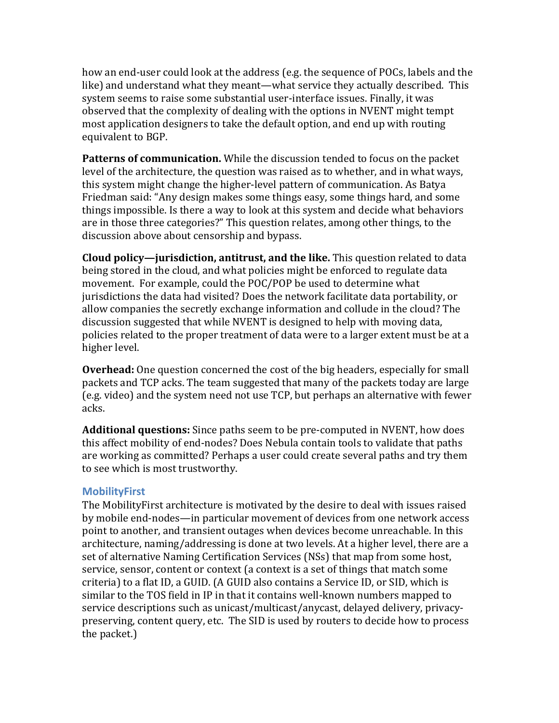how an end-user could look at the address (e.g. the sequence of POCs, labels and the like) and understand what they meant—what service they actually described. This system seems to raise some substantial user-interface issues. Finally, it was observed that the complexity of dealing with the options in NVENT might tempt most application designers to take the default option, and end up with routing equivalent to BGP.

**Patterns of communication.** While the discussion tended to focus on the packet level of the architecture, the question was raised as to whether, and in what ways, this system might change the higher-level pattern of communication. As Batya Friedman said: "Any design makes some things easy, some things hard, and some things impossible. Is there a way to look at this system and decide what behaviors are in those three categories?" This question relates, among other things, to the discussion above about censorship and bypass.

**Cloud policy—jurisdiction, antitrust, and the like.** This question related to data being stored in the cloud, and what policies might be enforced to regulate data movement. For example, could the POC/POP be used to determine what jurisdictions the data had visited? Does the network facilitate data portability, or allow companies the secretly exchange information and collude in the cloud? The discussion suggested that while NVENT is designed to help with moving data, policies related to the proper treatment of data were to a larger extent must be at a higher level.

**Overhead:** One question concerned the cost of the big headers, especially for small packets and TCP acks. The team suggested that many of the packets today are large (e.g. video) and the system need not use TCP, but perhaps an alternative with fewer acks.

**Additional questions:** Since paths seem to be pre-computed in NVENT, how does this affect mobility of end-nodes? Does Nebula contain tools to validate that paths are working as committed? Perhaps a user could create several paths and try them to see which is most trustworthy.

## **MobilityFirst**

The MobilityFirst architecture is motivated by the desire to deal with issues raised by mobile end-nodes—in particular movement of devices from one network access point to another, and transient outages when devices become unreachable. In this architecture, naming/addressing is done at two levels. At a higher level, there are a set of alternative Naming Certification Services (NSs) that map from some host, service, sensor, content or context (a context is a set of things that match some criteria) to a flat ID, a GUID. (A GUID also contains a Service ID, or SID, which is similar to the TOS field in IP in that it contains well-known numbers mapped to service descriptions such as unicast/multicast/anycast, delayed delivery, privacypreserving, content query, etc. The SID is used by routers to decide how to process the packet.)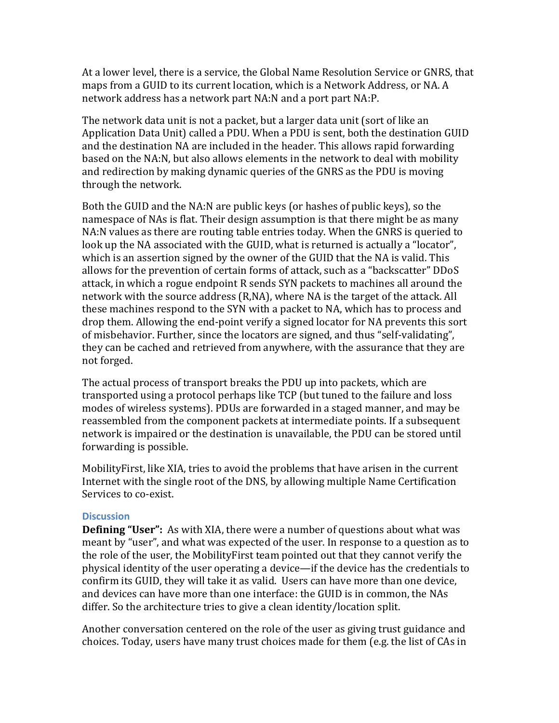At a lower level, there is a service, the Global Name Resolution Service or GNRS, that maps from a GUID to its current location, which is a Network Address, or NA. A network address has a network part NA:N and a port part NA:P.

The network data unit is not a packet, but a larger data unit (sort of like an Application Data Unit) called a PDU. When a PDU is sent, both the destination GUID and the destination NA are included in the header. This allows rapid forwarding based on the NA:N, but also allows elements in the network to deal with mobility and redirection by making dynamic queries of the GNRS as the PDU is moving through the network.

Both the GUID and the NA:N are public keys (or hashes of public keys), so the namespace of NAs is flat. Their design assumption is that there might be as many NA:N values as there are routing table entries today. When the GNRS is queried to look up the NA associated with the GUID, what is returned is actually a "locator", which is an assertion signed by the owner of the GUID that the NA is valid. This allows for the prevention of certain forms of attack, such as a "backscatter" DDoS attack, in which a rogue endpoint R sends SYN packets to machines all around the network with the source address (R,NA), where NA is the target of the attack. All these machines respond to the SYN with a packet to NA, which has to process and drop them. Allowing the end-point verify a signed locator for NA prevents this sort of misbehavior. Further, since the locators are signed, and thus "self-validating", they can be cached and retrieved from anywhere, with the assurance that they are not forged.

The actual process of transport breaks the PDU up into packets, which are transported using a protocol perhaps like TCP (but tuned to the failure and loss modes of wireless systems). PDUs are forwarded in a staged manner, and may be reassembled from the component packets at intermediate points. If a subsequent network is impaired or the destination is unavailable, the PDU can be stored until forwarding is possible.

MobilityFirst, like XIA, tries to avoid the problems that have arisen in the current Internet with the single root of the DNS, by allowing multiple Name Certification Services to co-exist.

#### **Discussion**

**Defining "User":** As with XIA, there were a number of questions about what was meant by "user", and what was expected of the user. In response to a question as to the role of the user, the MobilityFirst team pointed out that they cannot verify the physical identity of the user operating a device—if the device has the credentials to confirm its GUID, they will take it as valid. Users can have more than one device, and devices can have more than one interface: the GUID is in common, the NAs differ. So the architecture tries to give a clean identity/location split.

Another conversation centered on the role of the user as giving trust guidance and choices. Today, users have many trust choices made for them (e.g. the list of CAs in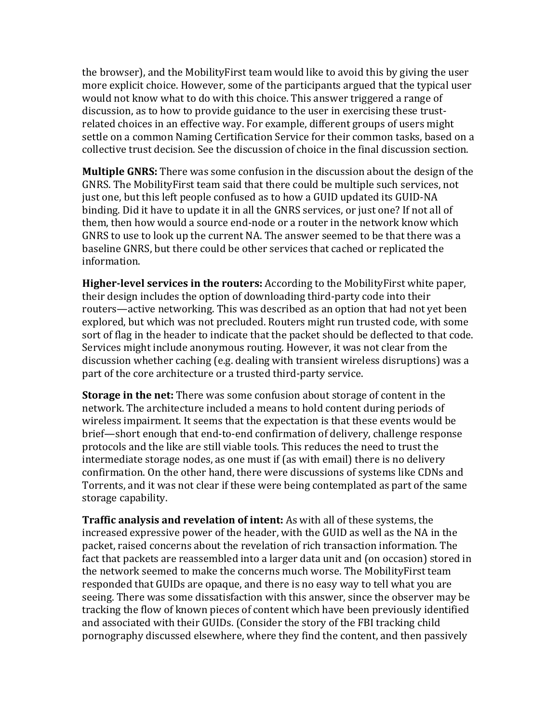the browser), and the MobilityFirst team would like to avoid this by giving the user more explicit choice. However, some of the participants argued that the typical user would not know what to do with this choice. This answer triggered a range of discussion, as to how to provide guidance to the user in exercising these trustrelated choices in an effective way. For example, different groups of users might settle on a common Naming Certification Service for their common tasks, based on a collective trust decision. See the discussion of choice in the final discussion section.

**Multiple GNRS:** There was some confusion in the discussion about the design of the GNRS. The MobilityFirst team said that there could be multiple such services, not just one, but this left people confused as to how a GUID updated its GUID-NA binding. Did it have to update it in all the GNRS services, or just one? If not all of them, then how would a source end-node or a router in the network know which GNRS to use to look up the current NA. The answer seemed to be that there was a baseline GNRS, but there could be other services that cached or replicated the information.

**Higher-level services in the routers:** According to the MobilityFirst white paper, their design includes the option of downloading third-party code into their routers—active networking. This was described as an option that had not yet been explored, but which was not precluded. Routers might run trusted code, with some sort of flag in the header to indicate that the packet should be deflected to that code. Services might include anonymous routing. However, it was not clear from the discussion whether caching (e.g. dealing with transient wireless disruptions) was a part of the core architecture or a trusted third-party service.

**Storage in the net:** There was some confusion about storage of content in the network. The architecture included a means to hold content during periods of wireless impairment. It seems that the expectation is that these events would be brief—short enough that end-to-end confirmation of delivery, challenge response protocols and the like are still viable tools. This reduces the need to trust the intermediate storage nodes, as one must if (as with email) there is no delivery confirmation. On the other hand, there were discussions of systems like CDNs and Torrents, and it was not clear if these were being contemplated as part of the same storage capability.

**Traffic analysis and revelation of intent:** As with all of these systems, the increased expressive power of the header, with the GUID as well as the NA in the packet, raised concerns about the revelation of rich transaction information. The fact that packets are reassembled into a larger data unit and (on occasion) stored in the network seemed to make the concerns much worse. The MobilityFirst team responded that GUIDs are opaque, and there is no easy way to tell what you are seeing. There was some dissatisfaction with this answer, since the observer may be tracking the flow of known pieces of content which have been previously identified and associated with their GUIDs. (Consider the story of the FBI tracking child pornography discussed elsewhere, where they find the content, and then passively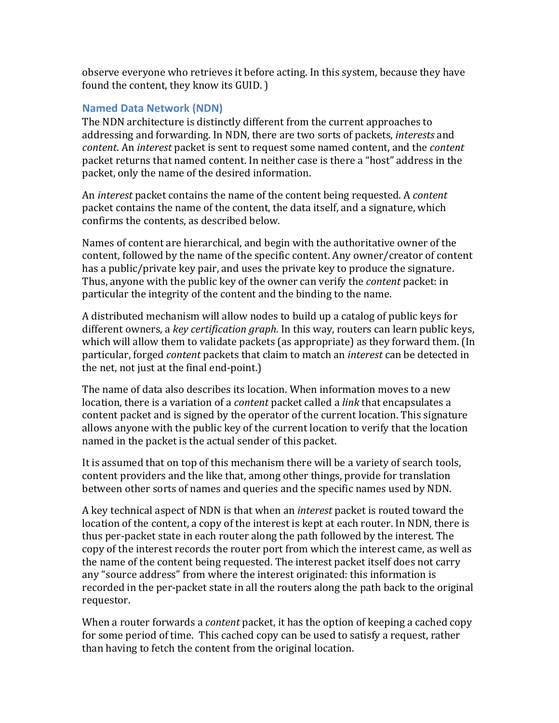observe everyone who retrieves it before acting. In this system, because they have found the content, they know its GUID. )

## **Named Data Network (NDN)**

The NDN architecture is distinctly different from the current approaches to addressing and forwarding. In NDN, there are two sorts of packets, *interests* and *content.* An *interest* packet is sent to request some named content, and the *content* packet returns that named content. In neither case is there a "host" address in the packet, only the name of the desired information.

An *interest* packet contains the name of the content being requested. A *content* packet contains the name of the content, the data itself, and a signature, which confirms the contents, as described below.

Names of content are hierarchical, and begin with the authoritative owner of the content, followed by the name of the specific content. Any owner/creator of content has a public/private key pair, and uses the private key to produce the signature. Thus, anyone with the public key of the owner can verify the *content* packet: in particular the integrity of the content and the binding to the name.

A distributed mechanism will allow nodes to build up a catalog of public keys for different owners, a *key certification graph*. In this way, routers can learn public keys, which will allow them to validate packets (as appropriate) as they forward them. (In particular, forged *content* packets that claim to match an *interest* can be detected in the net, not just at the final end-point.)

The name of data also describes its location. When information moves to a new location, there is a variation of a *content* packet called a *link* that encapsulates a content packet and is signed by the operator of the current location. This signature allows anyone with the public key of the current location to verify that the location named in the packet is the actual sender of this packet.

It is assumed that on top of this mechanism there will be a variety of search tools, content providers and the like that, among other things, provide for translation between other sorts of names and queries and the specific names used by NDN.

A key technical aspect of NDN is that when an *interest* packet is routed toward the location of the content, a copy of the interest is kept at each router. In NDN, there is thus per-packet state in each router along the path followed by the interest. The copy of the interest records the router port from which the interest came, as well as the name of the content being requested. The interest packet itself does not carry any "source address" from where the interest originated: this information is recorded in the per-packet state in all the routers along the path back to the original requestor.

When a router forwards a *content* packet, it has the option of keeping a cached copy for some period of time. This cached copy can be used to satisfy a request, rather than having to fetch the content from the original location.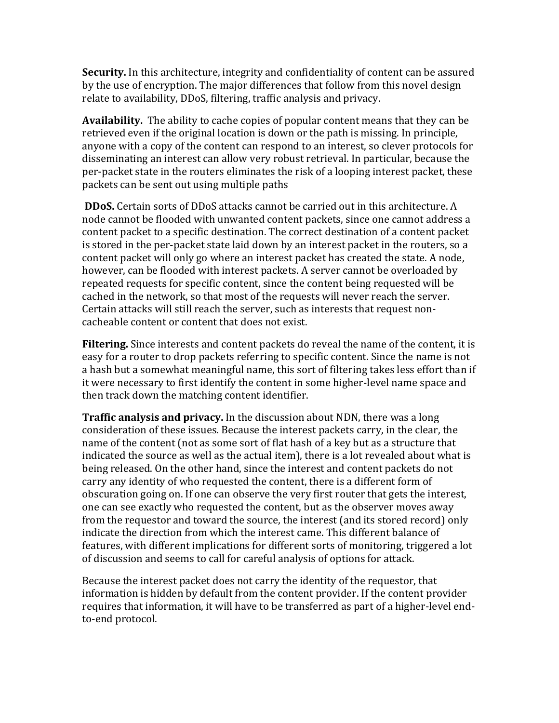**Security.** In this architecture, integrity and confidentiality of content can be assured by the use of encryption. The major differences that follow from this novel design relate to availability, DDoS, filtering, traffic analysis and privacy.

**Availability.** The ability to cache copies of popular content means that they can be retrieved even if the original location is down or the path is missing. In principle, anyone with a copy of the content can respond to an interest, so clever protocols for disseminating an interest can allow very robust retrieval. In particular, because the per-packet state in the routers eliminates the risk of a looping interest packet, these packets can be sent out using multiple paths

**DDoS.** Certain sorts of DDoS attacks cannot be carried out in this architecture. A node cannot be flooded with unwanted content packets, since one cannot address a content packet to a specific destination. The correct destination of a content packet is stored in the per-packet state laid down by an interest packet in the routers, so a content packet will only go where an interest packet has created the state. A node, however, can be flooded with interest packets. A server cannot be overloaded by repeated requests for specific content, since the content being requested will be cached in the network, so that most of the requests will never reach the server. Certain attacks will still reach the server, such as interests that request noncacheable content or content that does not exist.

Filtering. Since interests and content packets do reveal the name of the content, it is easy for a router to drop packets referring to specific content. Since the name is not a hash but a somewhat meaningful name, this sort of filtering takes less effort than if it were necessary to first identify the content in some higher-level name space and then track down the matching content identifier.

**Traffic analysis and privacy.** In the discussion about NDN, there was a long consideration of these issues. Because the interest packets carry, in the clear, the name of the content (not as some sort of flat hash of a key but as a structure that indicated the source as well as the actual item), there is a lot revealed about what is being released. On the other hand, since the interest and content packets do not carry any identity of who requested the content, there is a different form of obscuration going on. If one can observe the very first router that gets the interest, one can see exactly who requested the content, but as the observer moves away from the requestor and toward the source, the interest (and its stored record) only indicate the direction from which the interest came. This different balance of features, with different implications for different sorts of monitoring, triggered a lot of discussion and seems to call for careful analysis of options for attack.

Because the interest packet does not carry the identity of the requestor, that information is hidden by default from the content provider. If the content provider requires that information, it will have to be transferred as part of a higher-level endto-end protocol.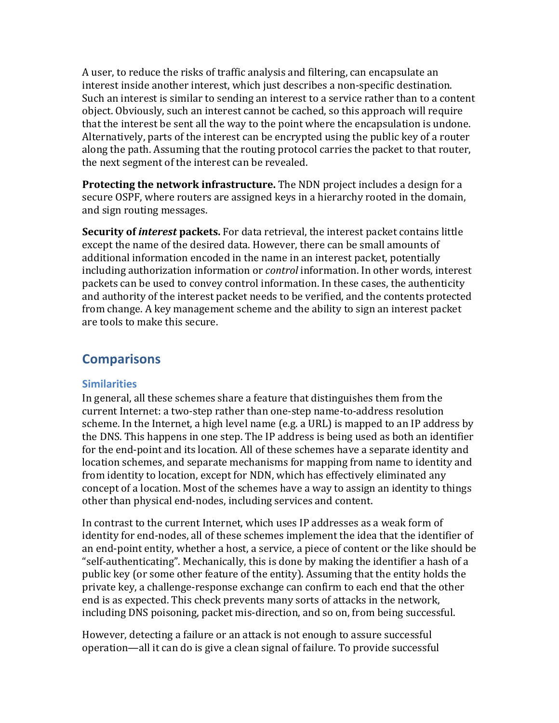A user, to reduce the risks of traffic analysis and filtering, can encapsulate an interest inside another interest, which just describes a non-specific destination. Such an interest is similar to sending an interest to a service rather than to a content object. Obviously, such an interest cannot be cached, so this approach will require that the interest be sent all the way to the point where the encapsulation is undone. Alternatively, parts of the interest can be encrypted using the public key of a router along the path. Assuming that the routing protocol carries the packet to that router, the next segment of the interest can be revealed.

**Protecting the network infrastructure.** The NDN project includes a design for a secure OSPF, where routers are assigned keys in a hierarchy rooted in the domain, and sign routing messages.

**Security of** *interest* **packets.** For data retrieval, the interest packet contains little except the name of the desired data. However, there can be small amounts of additional information encoded in the name in an interest packet, potentially including authorization information or *control* information. In other words, interest packets can be used to convey control information. In these cases, the authenticity and authority of the interest packet needs to be verified, and the contents protected from change. A key management scheme and the ability to sign an interest packet are tools to make this secure.

## **Comparisons**

## **Similarities**

In general, all these schemes share a feature that distinguishes them from the current Internet: a two-step rather than one-step name-to-address resolution scheme. In the Internet, a high level name (e.g. a URL) is mapped to an IP address by the DNS. This happens in one step. The IP address is being used as both an identifier for the end-point and its location. All of these schemes have a separate identity and location schemes, and separate mechanisms for mapping from name to identity and from identity to location, except for NDN, which has effectively eliminated any concept of a location. Most of the schemes have a way to assign an identity to things other than physical end-nodes, including services and content.

In contrast to the current Internet, which uses IP addresses as a weak form of identity for end-nodes, all of these schemes implement the idea that the identifier of an end-point entity, whether a host, a service, a piece of content or the like should be "self-authenticating". Mechanically, this is done by making the identifier a hash of a public key (or some other feature of the entity). Assuming that the entity holds the private key, a challenge-response exchange can confirm to each end that the other end is as expected. This check prevents many sorts of attacks in the network, including DNS poisoning, packet mis-direction, and so on, from being successful.

However, detecting a failure or an attack is not enough to assure successful operation—all it can do is give a clean signal of failure. To provide successful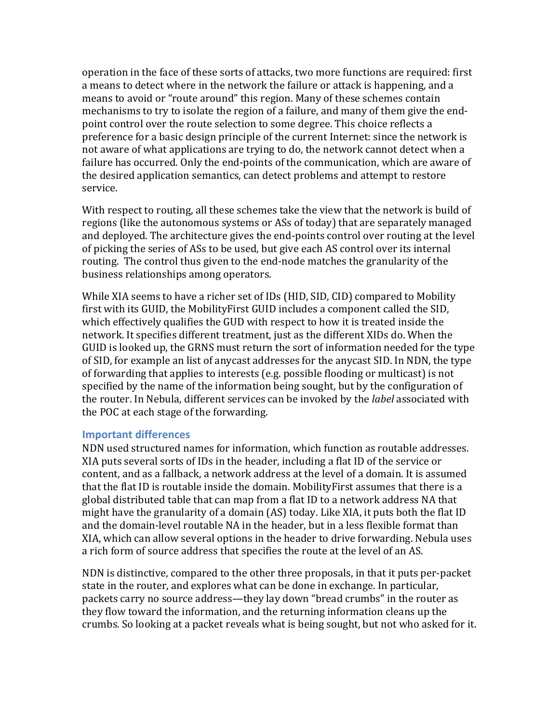operation in the face of these sorts of attacks, two more functions are required: first a means to detect where in the network the failure or attack is happening, and a means to avoid or "route around" this region. Many of these schemes contain mechanisms to try to isolate the region of a failure, and many of them give the endpoint control over the route selection to some degree. This choice reflects a preference for a basic design principle of the current Internet: since the network is not aware of what applications are trying to do, the network cannot detect when a failure has occurred. Only the end-points of the communication, which are aware of the desired application semantics, can detect problems and attempt to restore service.

With respect to routing, all these schemes take the view that the network is build of regions (like the autonomous systems or ASs of today) that are separately managed and deployed. The architecture gives the end-points control over routing at the level of picking the series of ASs to be used, but give each AS control over its internal routing. The control thus given to the end-node matches the granularity of the business relationships among operators.

While XIA seems to have a richer set of IDs (HID, SID, CID) compared to Mobility first with its GUID, the MobilityFirst GUID includes a component called the SID, which effectively qualifies the GUD with respect to how it is treated inside the network. It specifies different treatment, just as the different XIDs do. When the GUID is looked up, the GRNS must return the sort of information needed for the type of SID, for example an list of anycast addresses for the anycast SID. In NDN, the type of forwarding that applies to interests (e.g. possible flooding or multicast) is not specified by the name of the information being sought, but by the configuration of the router. In Nebula, different services can be invoked by the *label* associated with the POC at each stage of the forwarding.

#### **Important\$differences**

NDN used structured names for information, which function as routable addresses. XIA puts several sorts of IDs in the header, including a flat ID of the service or content, and as a fallback, a network address at the level of a domain. It is assumed that the flat ID is routable inside the domain. MobilityFirst assumes that there is a global distributed table that can map from a flat ID to a network address NA that might have the granularity of a domain (AS) today. Like XIA, it puts both the flat ID and the domain-level routable NA in the header, but in a less flexible format than XIA, which can allow several options in the header to drive forwarding. Nebula uses a rich form of source address that specifies the route at the level of an AS.

NDN is distinctive, compared to the other three proposals, in that it puts per-packet state in the router, and explores what can be done in exchange. In particular, packets carry no source address—they lay down "bread crumbs" in the router as they flow toward the information, and the returning information cleans up the crumbs. So looking at a packet reveals what is being sought, but not who asked for it.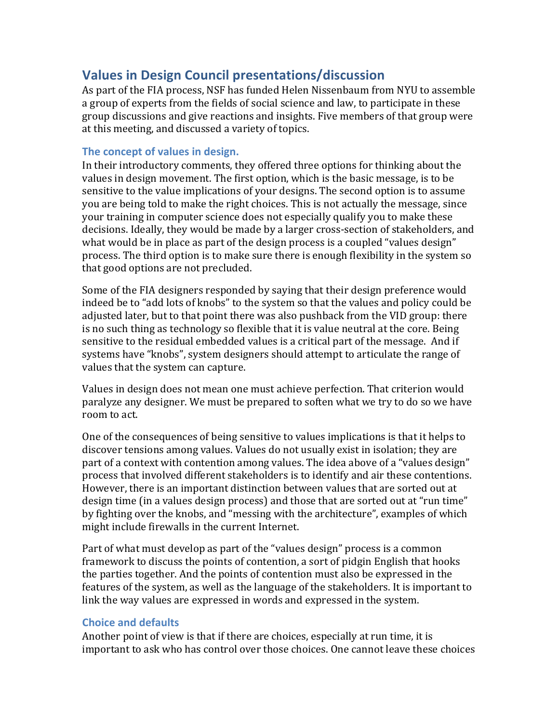# **Values in Design Council presentations/discussion**

As part of the FIA process, NSF has funded Helen Nissenbaum from NYU to assemble a group of experts from the fields of social science and law, to participate in these group discussions and give reactions and insights. Five members of that group were at this meeting, and discussed a variety of topics.

### **The concept of values in design.**

In their introductory comments, they offered three options for thinking about the values in design movement. The first option, which is the basic message, is to be sensitive to the value implications of your designs. The second option is to assume you are being told to make the right choices. This is not actually the message, since your training in computer science does not especially qualify you to make these decisions. Ideally, they would be made by a larger cross-section of stakeholders, and what would be in place as part of the design process is a coupled "values design" process. The third option is to make sure there is enough flexibility in the system so that good options are not precluded.

Some of the FIA designers responded by saying that their design preference would indeed be to "add lots of knobs" to the system so that the values and policy could be adjusted later, but to that point there was also pushback from the VID group: there is no such thing as technology so flexible that it is value neutral at the core. Being sensitive to the residual embedded values is a critical part of the message. And if systems have "knobs", system designers should attempt to articulate the range of values that the system can capture.

Values in design does not mean one must achieve perfection. That criterion would paralyze any designer. We must be prepared to soften what we try to do so we have room to act.

One of the consequences of being sensitive to values implications is that it helps to discover tensions among values. Values do not usually exist in isolation; they are part of a context with contention among values. The idea above of a "values design" process that involved different stakeholders is to identify and air these contentions. However, there is an important distinction between values that are sorted out at design time (in a values design process) and those that are sorted out at "run time" by fighting over the knobs, and "messing with the architecture", examples of which might include firewalls in the current Internet.

Part of what must develop as part of the "values design" process is a common framework to discuss the points of contention, a sort of pidgin English that hooks the parties together. And the points of contention must also be expressed in the features of the system, as well as the language of the stakeholders. It is important to link the way values are expressed in words and expressed in the system.

## **Choice and defaults**

Another point of view is that if there are choices, especially at run time, it is important to ask who has control over those choices. One cannot leave these choices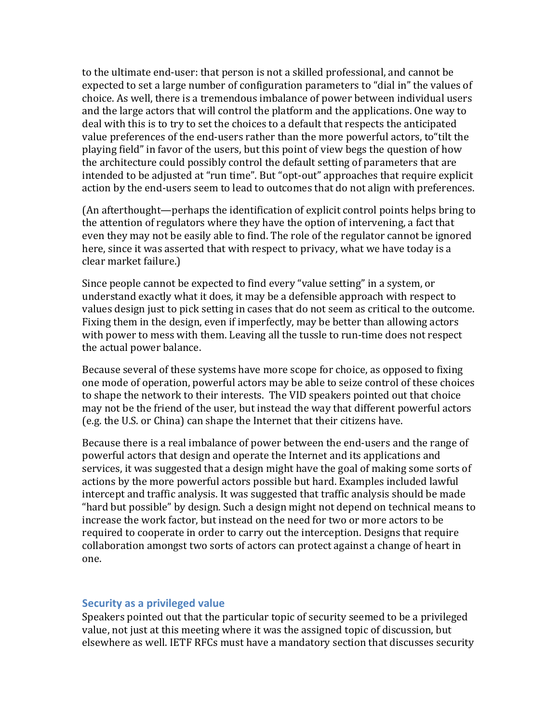to the ultimate end-user: that person is not a skilled professional, and cannot be expected to set a large number of configuration parameters to "dial in" the values of choice. As well, there is a tremendous imbalance of power between individual users and the large actors that will control the platform and the applications. One way to deal with this is to try to set the choices to a default that respects the anticipated value preferences of the end-users rather than the more powerful actors, to "tilt the playing field" in favor of the users, but this point of view begs the question of how the architecture could possibly control the default setting of parameters that are intended to be adjusted at "run time". But "opt-out" approaches that require explicit action by the end-users seem to lead to outcomes that do not align with preferences.

(An afterthought—perhaps the identification of explicit control points helps bring to the attention of regulators where they have the option of intervening, a fact that even they may not be easily able to find. The role of the regulator cannot be ignored here, since it was asserted that with respect to privacy, what we have today is a clear market failure.)

Since people cannot be expected to find every "value setting" in a system, or understand exactly what it does, it may be a defensible approach with respect to values design just to pick setting in cases that do not seem as critical to the outcome. Fixing them in the design, even if imperfectly, may be better than allowing actors with power to mess with them. Leaving all the tussle to run-time does not respect the actual power balance.

Because several of these systems have more scope for choice, as opposed to fixing one mode of operation, powerful actors may be able to seize control of these choices to shape the network to their interests. The VID speakers pointed out that choice may not be the friend of the user, but instead the way that different powerful actors (e.g. the U.S. or China) can shape the Internet that their citizens have.

Because there is a real imbalance of power between the end-users and the range of powerful actors that design and operate the Internet and its applications and services, it was suggested that a design might have the goal of making some sorts of actions by the more powerful actors possible but hard. Examples included lawful intercept and traffic analysis. It was suggested that traffic analysis should be made "hard but possible" by design. Such a design might not depend on technical means to increase the work factor, but instead on the need for two or more actors to be required to cooperate in order to carry out the interception. Designs that require collaboration amongst two sorts of actors can protect against a change of heart in one.

#### **Security as a privileged value**

Speakers pointed out that the particular topic of security seemed to be a privileged value, not just at this meeting where it was the assigned topic of discussion, but elsewhere as well. IETF RFCs must have a mandatory section that discusses security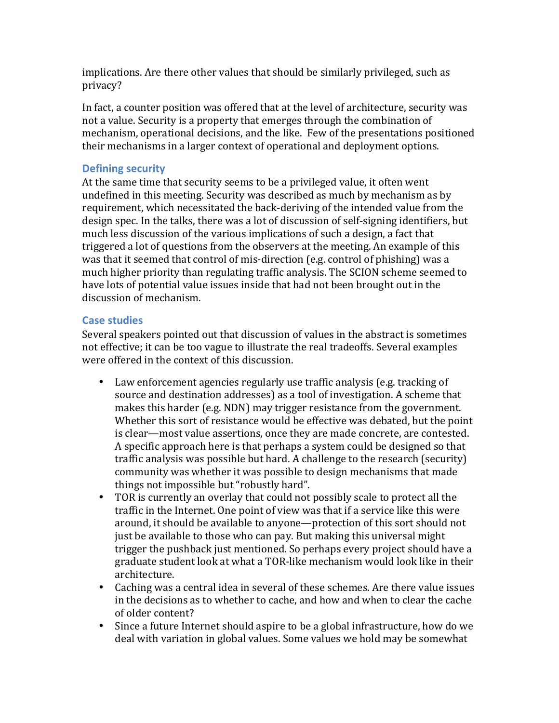implications. Are there other values that should be similarly privileged, such as privacy?

In fact, a counter position was offered that at the level of architecture, security was not a value. Security is a property that emerges through the combination of mechanism, operational decisions, and the like. Few of the presentations positioned their mechanisms in a larger context of operational and deployment options.

## **Defining security**

At the same time that security seems to be a privileged value, it often went undefined in this meeting. Security was described as much by mechanism as by requirement, which necessitated the back-deriving of the intended value from the design spec. In the talks, there was a lot of discussion of self-signing identifiers, but much less discussion of the various implications of such a design, a fact that triggered a lot of questions from the observers at the meeting. An example of this was that it seemed that control of mis-direction (e.g. control of phishing) was a much higher priority than regulating traffic analysis. The SCION scheme seemed to have lots of potential value issues inside that had not been brought out in the discussion of mechanism.

## **Case studies**

Several speakers pointed out that discussion of values in the abstract is sometimes not effective; it can be too vague to illustrate the real tradeoffs. Several examples were offered in the context of this discussion.

- Law enforcement agencies regularly use traffic analysis (e.g. tracking of  $\blacksquare$ source and destination addresses) as a tool of investigation. A scheme that makes this harder (e.g. NDN) may trigger resistance from the government. Whether this sort of resistance would be effective was debated, but the point is clear—most value assertions, once they are made concrete, are contested. A specific approach here is that perhaps a system could be designed so that traffic analysis was possible but hard. A challenge to the research (security) community was whether it was possible to design mechanisms that made things not impossible but "robustly hard".
- TOR is currently an overlay that could not possibly scale to protect all the traffic in the Internet. One point of view was that if a service like this were around, it should be available to anyone—protection of this sort should not just be available to those who can pay. But making this universal might trigger the pushback just mentioned. So perhaps every project should have a graduate student look at what a TOR-like mechanism would look like in their architecture.
- Caching was a central idea in several of these schemes. Are there value issues in the decisions as to whether to cache, and how and when to clear the cache of older content?
- Since a future Internet should aspire to be a global infrastructure, how do we deal with variation in global values. Some values we hold may be somewhat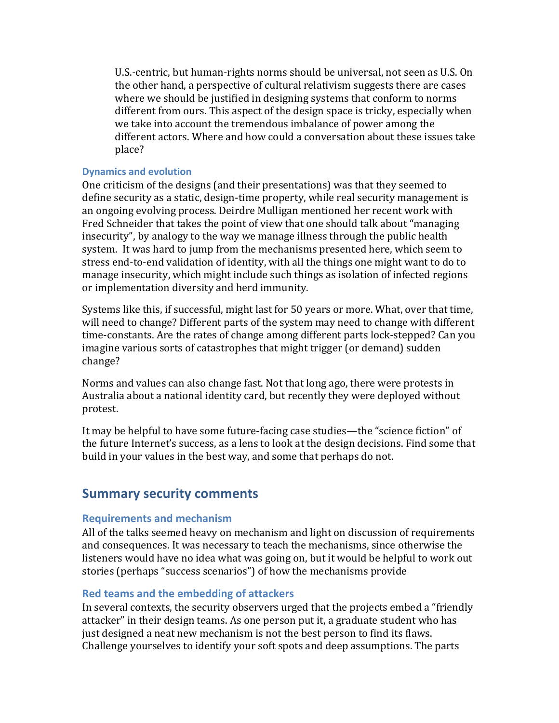U.S.-centric, but human-rights norms should be universal, not seen as U.S. On the other hand, a perspective of cultural relativism suggests there are cases where we should be justified in designing systems that conform to norms different from ours. This aspect of the design space is tricky, especially when we take into account the tremendous imbalance of power among the different actors. Where and how could a conversation about these issues take place?

#### **Dynamics and evolution**

One criticism of the designs (and their presentations) was that they seemed to define security as a static, design-time property, while real security management is an ongoing evolving process. Deirdre Mulligan mentioned her recent work with Fred Schneider that takes the point of view that one should talk about "managing" insecurity", by analogy to the way we manage illness through the public health system. It was hard to jump from the mechanisms presented here, which seem to stress end-to-end validation of identity, with all the things one might want to do to manage insecurity, which might include such things as isolation of infected regions or implementation diversity and herd immunity.

Systems like this, if successful, might last for 50 years or more. What, over that time, will need to change? Different parts of the system may need to change with different time-constants. Are the rates of change among different parts lock-stepped? Can you imagine various sorts of catastrophes that might trigger (or demand) sudden change?

Norms and values can also change fast. Not that long ago, there were protests in Australia about a national identity card, but recently they were deployed without protest.

It may be helpful to have some future-facing case studies—the "science fiction" of the future Internet's success, as a lens to look at the design decisions. Find some that build in your values in the best way, and some that perhaps do not.

## **Summary security comments**

#### **Requirements and mechanism**

All of the talks seemed heavy on mechanism and light on discussion of requirements and consequences. It was necessary to teach the mechanisms, since otherwise the listeners would have no idea what was going on, but it would be helpful to work out stories (perhaps "success scenarios") of how the mechanisms provide

#### **Red teams and the embedding of attackers**

In several contexts, the security observers urged that the projects embed a "friendly" attacker" in their design teams. As one person put it, a graduate student who has just designed a neat new mechanism is not the best person to find its flaws. Challenge yourselves to identify your soft spots and deep assumptions. The parts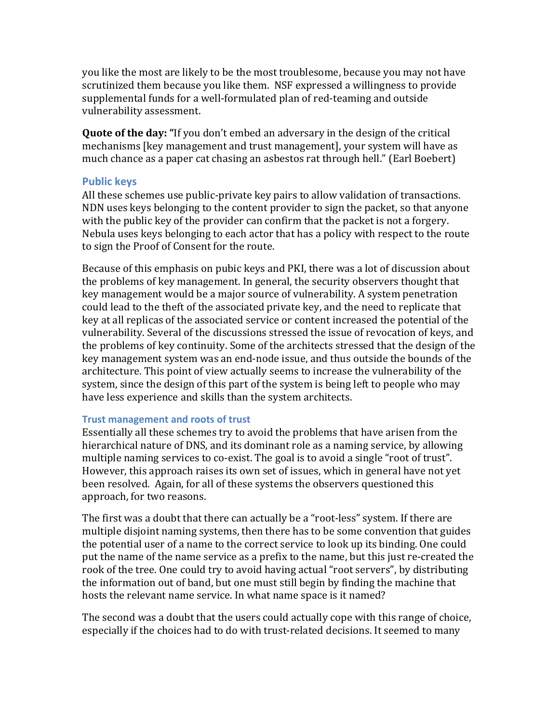you like the most are likely to be the most troublesome, because you may not have scrutinized them because you like them. NSF expressed a willingness to provide supplemental funds for a well-formulated plan of red-teaming and outside vulnerability assessment.

**Quote of the day:** "If you don't embed an adversary in the design of the critical mechanisms [key management and trust management], your system will have as much chance as a paper cat chasing an asbestos rat through hell." (Earl Boebert)

### **Public keys**

All these schemes use public-private key pairs to allow validation of transactions. NDN uses keys belonging to the content provider to sign the packet, so that anyone with the public key of the provider can confirm that the packet is not a forgery. Nebula uses keys belonging to each actor that has a policy with respect to the route to sign the Proof of Consent for the route.

Because of this emphasis on pubic keys and PKI, there was a lot of discussion about the problems of key management. In general, the security observers thought that key management would be a major source of vulnerability. A system penetration could lead to the theft of the associated private key, and the need to replicate that key at all replicas of the associated service or content increased the potential of the vulnerability. Several of the discussions stressed the issue of revocation of keys, and the problems of key continuity. Some of the architects stressed that the design of the key management system was an end-node issue, and thus outside the bounds of the architecture. This point of view actually seems to increase the vulnerability of the system, since the design of this part of the system is being left to people who may have less experience and skills than the system architects.

## **Trust management and roots of trust**

Essentially all these schemes try to avoid the problems that have arisen from the hierarchical nature of DNS, and its dominant role as a naming service, by allowing multiple naming services to co-exist. The goal is to avoid a single "root of trust". However, this approach raises its own set of issues, which in general have not yet been resolved. Again, for all of these systems the observers questioned this approach, for two reasons.

The first was a doubt that there can actually be a "root-less" system. If there are multiple disjoint naming systems, then there has to be some convention that guides the potential user of a name to the correct service to look up its binding. One could put the name of the name service as a prefix to the name, but this just re-created the rook of the tree. One could try to avoid having actual "root servers", by distributing the information out of band, but one must still begin by finding the machine that hosts the relevant name service. In what name space is it named?

The second was a doubt that the users could actually cope with this range of choice, especially if the choices had to do with trust-related decisions. It seemed to many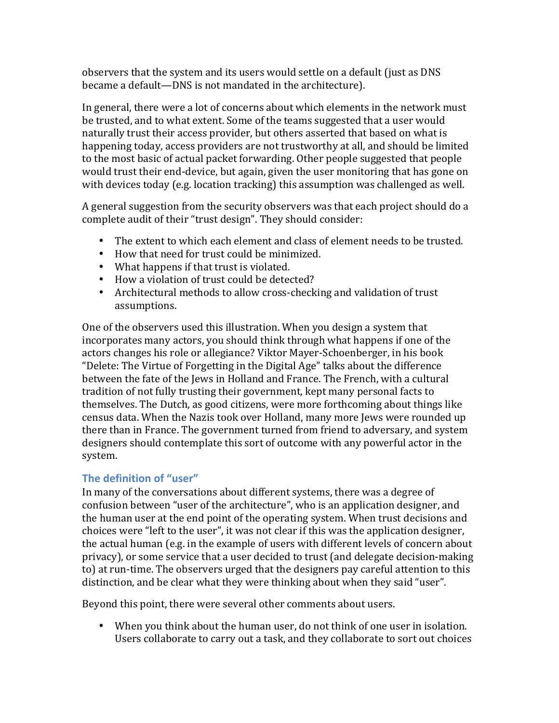observers that the system and its users would settle on a default (just as DNS became a default—DNS is not mandated in the architecture).

In general, there were a lot of concerns about which elements in the network must be trusted, and to what extent. Some of the teams suggested that a user would naturally trust their access provider, but others asserted that based on what is happening today, access providers are not trustworthy at all, and should be limited to the most basic of actual packet forwarding. Other people suggested that people would trust their end-device, but again, given the user monitoring that has gone on with devices today (e.g. location tracking) this assumption was challenged as well.

A general suggestion from the security observers was that each project should do a complete audit of their "trust design". They should consider:

- The extent to which each element and class of element needs to be trusted.
- How that need for trust could be minimized.
- What happens if that trust is violated.
- How a violation of trust could be detected?
- Architectural methods to allow cross-checking and validation of trust assumptions.

One of the observers used this illustration. When you design a system that incorporates many actors, you should think through what happens if one of the actors changes his role or allegiance? Viktor Mayer-Schoenberger, in his book "Delete: The Virtue of Forgetting in the Digital Age" talks about the difference between the fate of the Jews in Holland and France. The French, with a cultural tradition of not fully trusting their government, kept many personal facts to themselves. The Dutch, as good citizens, were more forthcoming about things like census data. When the Nazis took over Holland, many more Jews were rounded up there than in France. The government turned from friend to adversary, and system designers should contemplate this sort of outcome with any powerful actor in the system.

## **The definition of "user"**

In many of the conversations about different systems, there was a degree of confusion between "user of the architecture", who is an application designer, and the human user at the end point of the operating system. When trust decisions and choices were "left to the user", it was not clear if this was the application designer, the actual human (e.g. in the example of users with different levels of concern about privacy), or some service that a user decided to trust (and delegate decision-making to) at run-time. The observers urged that the designers pay careful attention to this distinction, and be clear what they were thinking about when they said "user".

Beyond this point, there were several other comments about users.

• When you think about the human user, do not think of one user in isolation. Users collaborate to carry out a task, and they collaborate to sort out choices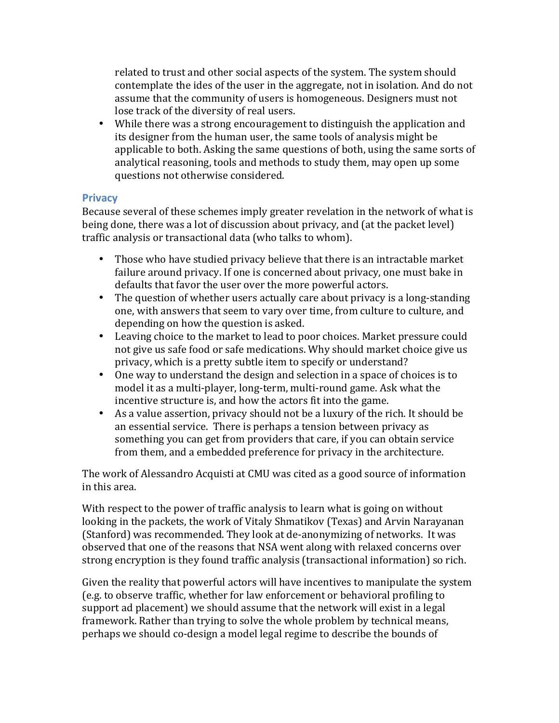related to trust and other social aspects of the system. The system should contemplate the ides of the user in the aggregate, not in isolation. And do not assume that the community of users is homogeneous. Designers must not lose track of the diversity of real users.

• While there was a strong encouragement to distinguish the application and its designer from the human user, the same tools of analysis might be applicable to both. Asking the same questions of both, using the same sorts of analytical reasoning, tools and methods to study them, may open up some questions not otherwise considered.

## **Privacy**

Because several of these schemes imply greater revelation in the network of what is being done, there was a lot of discussion about privacy, and (at the packet level) traffic analysis or transactional data (who talks to whom).

- Those who have studied privacy believe that there is an intractable market failure around privacy. If one is concerned about privacy, one must bake in defaults that favor the user over the more powerful actors.
- The question of whether users actually care about privacy is a long-standing one, with answers that seem to vary over time, from culture to culture, and depending on how the question is asked.
- Leaving choice to the market to lead to poor choices. Market pressure could not give us safe food or safe medications. Why should market choice give us privacy, which is a pretty subtle item to specify or understand?
- One way to understand the design and selection in a space of choices is to  $\cdot$ model it as a multi-player, long-term, multi-round game. Ask what the incentive structure is, and how the actors fit into the game.
- As a value assertion, privacy should not be a luxury of the rich. It should be an essential service. There is perhaps a tension between privacy as something you can get from providers that care, if you can obtain service from them, and a embedded preference for privacy in the architecture.

The work of Alessandro Acquisti at CMU was cited as a good source of information in this area.

With respect to the power of traffic analysis to learn what is going on without looking in the packets, the work of Vitaly Shmatikov (Texas) and Arvin Narayanan (Stanford) was recommended. They look at de-anonymizing of networks. It was observed that one of the reasons that NSA went along with relaxed concerns over strong encryption is they found traffic analysis (transactional information) so rich.

Given the reality that powerful actors will have incentives to manipulate the system (e.g. to observe traffic, whether for law enforcement or behavioral profiling to support ad placement) we should assume that the network will exist in a legal framework. Rather than trying to solve the whole problem by technical means, perhaps we should co-design a model legal regime to describe the bounds of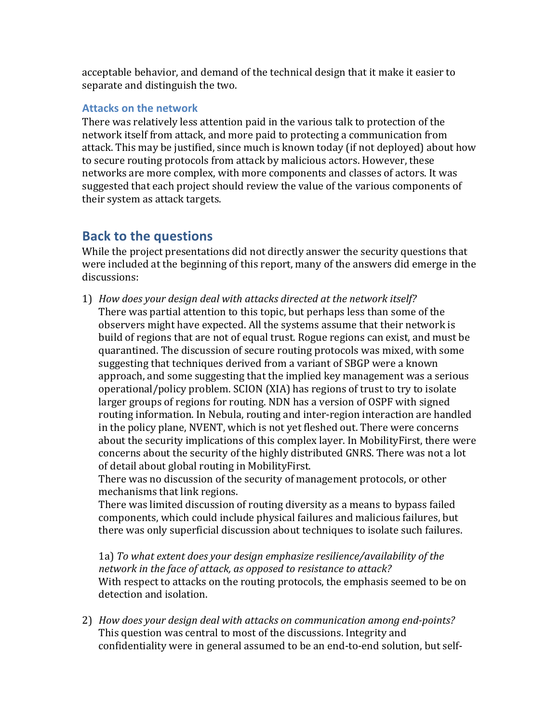acceptable behavior, and demand of the technical design that it make it easier to separate and distinguish the two.

## **Attacks on the network**

There was relatively less attention paid in the various talk to protection of the network itself from attack, and more paid to protecting a communication from attack. This may be justified, since much is known today (if not deployed) about how to secure routing protocols from attack by malicious actors. However, these networks are more complex, with more components and classes of actors. It was suggested that each project should review the value of the various components of their system as attack targets.

# **Back to the questions**

While the project presentations did not directly answer the security questions that were included at the beginning of this report, many of the answers did emerge in the discussions:

1) *How does your design deal with attacks directed at the network itself?* There was partial attention to this topic, but perhaps less than some of the observers might have expected. All the systems assume that their network is build of regions that are not of equal trust. Rogue regions can exist, and must be quarantined. The discussion of secure routing protocols was mixed, with some suggesting that techniques derived from a variant of SBGP were a known approach, and some suggesting that the implied key management was a serious operational/policy problem. SCION (XIA) has regions of trust to try to isolate larger groups of regions for routing. NDN has a version of OSPF with signed routing information. In Nebula, routing and inter-region interaction are handled in the policy plane, NVENT, which is not yet fleshed out. There were concerns about the security implications of this complex layer. In MobilityFirst, there were concerns about the security of the highly distributed GNRS. There was not a lot of detail about global routing in MobilityFirst.

There was no discussion of the security of management protocols, or other mechanisms that link regions.

There was limited discussion of routing diversity as a means to bypass failed components, which could include physical failures and malicious failures, but there was only superficial discussion about techniques to isolate such failures.

1a) To what extent does your design emphasize resilience/availability of the network in the face of attack, as opposed to resistance to attack? With respect to attacks on the routing protocols, the emphasis seemed to be on detection and isolation.

2) *How does your design deal with attacks on communication among end-points?* This question was central to most of the discussions. Integrity and confidentiality were in general assumed to be an end-to-end solution, but self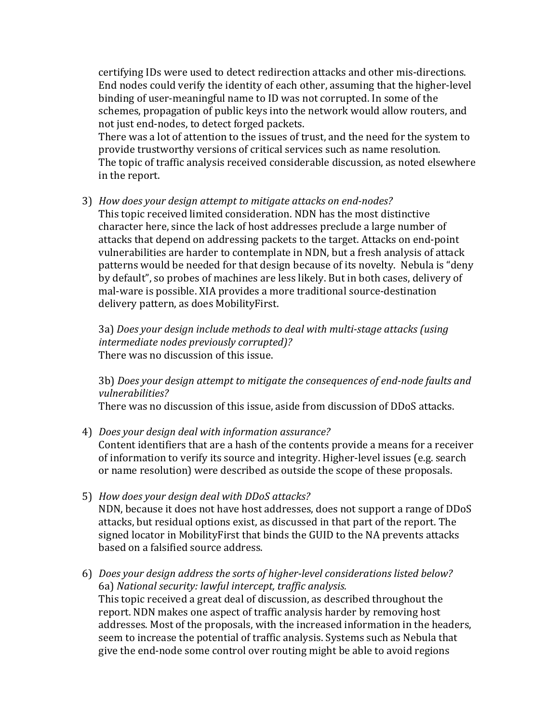certifying IDs were used to detect redirection attacks and other mis-directions. End nodes could verify the identity of each other, assuming that the higher-level binding of user-meaningful name to ID was not corrupted. In some of the schemes, propagation of public keys into the network would allow routers, and not just end-nodes, to detect forged packets.

There was a lot of attention to the issues of trust, and the need for the system to provide trustworthy versions of critical services such as name resolution. The topic of traffic analysis received considerable discussion, as noted elsewhere in the report.

3) *How does your design attempt to mitigate attacks on end-nodes?* 

This topic received limited consideration. NDN has the most distinctive character here, since the lack of host addresses preclude a large number of attacks that depend on addressing packets to the target. Attacks on end-point vulnerabilities are harder to contemplate in NDN, but a fresh analysis of attack patterns would be needed for that design because of its novelty. Nebula is "deny" by default", so probes of machines are less likely. But in both cases, delivery of mal-ware is possible. XIA provides a more traditional source-destination delivery pattern, as does MobilityFirst.

3a) Does your design include methods to deal with multi-stage attacks (using *intermediate+nodes+previously+corrupted)?* There was no discussion of this issue.

3b) Does your design attempt to mitigate the consequences of end-node faults and *vulnerabilities?*

There was no discussion of this issue, aside from discussion of DDoS attacks.

- 4) *Does your design deal with information assurance?* Content identifiers that are a hash of the contents provide a means for a receiver of information to verify its source and integrity. Higher-level issues (e.g. search or name resolution) were described as outside the scope of these proposals.
- 5) *How does your design deal with DDoS attacks?* NDN, because it does not have host addresses, does not support a range of DDoS attacks, but residual options exist, as discussed in that part of the report. The signed locator in MobilityFirst that binds the GUID to the NA prevents attacks based on a falsified source address.
- 6) *Does your design address the sorts of higher-level considerations listed below?* 6a) National security: lawful intercept, traffic analysis. This topic received a great deal of discussion, as described throughout the report. NDN makes one aspect of traffic analysis harder by removing host addresses. Most of the proposals, with the increased information in the headers, seem to increase the potential of traffic analysis. Systems such as Nebula that give the end-node some control over routing might be able to avoid regions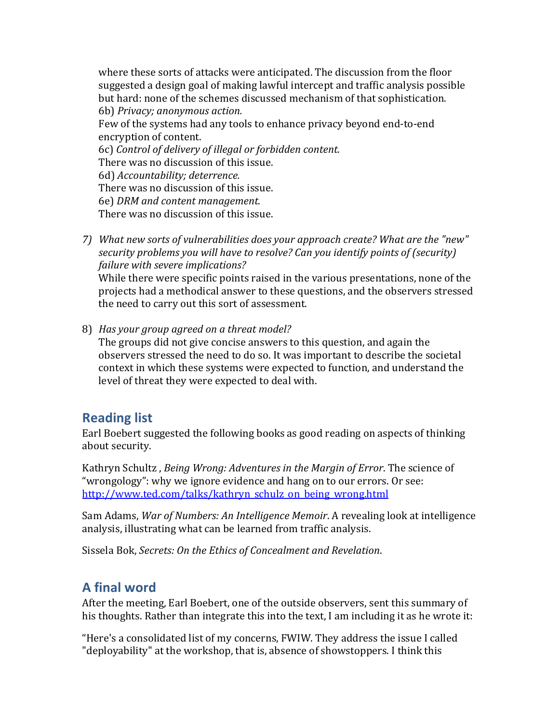where these sorts of attacks were anticipated. The discussion from the floor suggested a design goal of making lawful intercept and traffic analysis possible but hard: none of the schemes discussed mechanism of that sophistication. 6b)!*Privacy;+anonymous+action.* Few of the systems had any tools to enhance privacy beyond end-to-end encryption of content. 6c)!*Control+of+delivery+of+illegal+or+forbidden+content.* There was no discussion of this issue. 6d)!*Accountability;+deterrence.* There was no discussion of this issue. 6e)!*DRM+and+content+management.* There was no discussion of this issue.

*7) What new sorts of vulnerabilities does your approach create? What are the "new" security problems you will have to resolve? Can you identify points of (security) failure+with+severe+implications?+*

While there were specific points raised in the various presentations, none of the projects had a methodical answer to these questions, and the observers stressed the need to carry out this sort of assessment.

8) *Has your group agreed on a threat model?* The groups did not give concise answers to this question, and again the observers stressed the need to do so. It was important to describe the societal context in which these systems were expected to function, and understand the level of threat they were expected to deal with.

# **Reading list**

Earl Boebert suggested the following books as good reading on aspects of thinking about security.

Kathryn Schultz, *Being Wrong: Adventures in the Margin of Error*. The science of "wrongology": why we ignore evidence and hang on to our errors. Or see: http://www.ted.com/talks/kathryn\_schulz\_on\_being\_wrong.html

Sam Adams, *War of Numbers: An Intelligence Memoir*. A revealing look at intelligence analysis, illustrating what can be learned from traffic analysis.

Sissela Bok, Secrets: On the Ethics of Concealment and Revelation.

# **A** final word

After the meeting, Earl Boebert, one of the outside observers, sent this summary of his thoughts. Rather than integrate this into the text, I am including it as he wrote it:

"Here's a consolidated list of my concerns, FWIW. They address the issue I called "deployability" at the workshop, that is, absence of showstoppers. I think this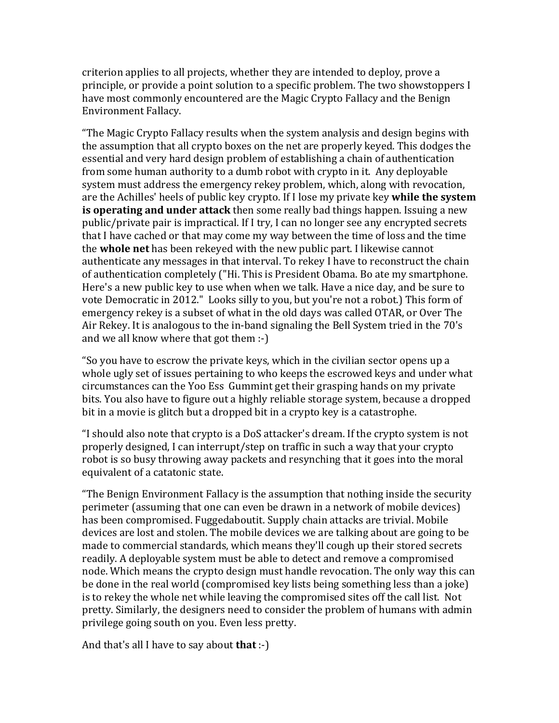criterion applies to all projects, whether they are intended to deploy, prove a principle, or provide a point solution to a specific problem. The two showstoppers I have most commonly encountered are the Magic Crypto Fallacy and the Benign Environment Fallacy.

"The Magic Crypto Fallacy results when the system analysis and design begins with the assumption that all crypto boxes on the net are properly keyed. This dodges the essential and very hard design problem of establishing a chain of authentication from some human authority to a dumb robot with crypto in it. Any deployable system must address the emergency rekey problem, which, along with revocation, are the Achilles' heels of public key crypto. If I lose my private key **while the system** is operating and under attack then some really bad things happen. Issuing a new public/private pair is impractical. If I try, I can no longer see any encrypted secrets that I have cached or that may come my way between the time of loss and the time the **whole net** has been rekeyed with the new public part. I likewise cannot authenticate any messages in that interval. To rekey I have to reconstruct the chain of authentication completely ("Hi. This is President Obama. Bo ate my smartphone. Here's a new public key to use when when we talk. Have a nice day, and be sure to vote Democratic in 2012." Looks silly to you, but you're not a robot.) This form of emergency rekey is a subset of what in the old days was called OTAR, or Over The Air Rekey. It is analogous to the in-band signaling the Bell System tried in the 70's and we all know where that got them :-)

"So you have to escrow the private keys, which in the civilian sector opens up a whole ugly set of issues pertaining to who keeps the escrowed keys and under what circumstances can the Yoo Ess Gummint get their grasping hands on my private bits. You also have to figure out a highly reliable storage system, because a dropped bit in a movie is glitch but a dropped bit in a crypto key is a catastrophe.

"I should also note that crypto is a DoS attacker's dream. If the crypto system is not properly designed, I can interrupt/step on traffic in such a way that your crypto robot is so busy throwing away packets and resynching that it goes into the moral equivalent of a catatonic state.

"The Benign Environment Fallacy is the assumption that nothing inside the security" perimeter (assuming that one can even be drawn in a network of mobile devices) has been compromised. Fuggedaboutit. Supply chain attacks are trivial. Mobile devices are lost and stolen. The mobile devices we are talking about are going to be made to commercial standards, which means they'll cough up their stored secrets readily. A deployable system must be able to detect and remove a compromised node. Which means the crypto design must handle revocation. The only way this can be done in the real world (compromised key lists being something less than a joke) is to rekey the whole net while leaving the compromised sites off the call list. Not pretty. Similarly, the designers need to consider the problem of humans with admin privilege going south on you. Even less pretty.

And that's all I have to say about **that**:-)